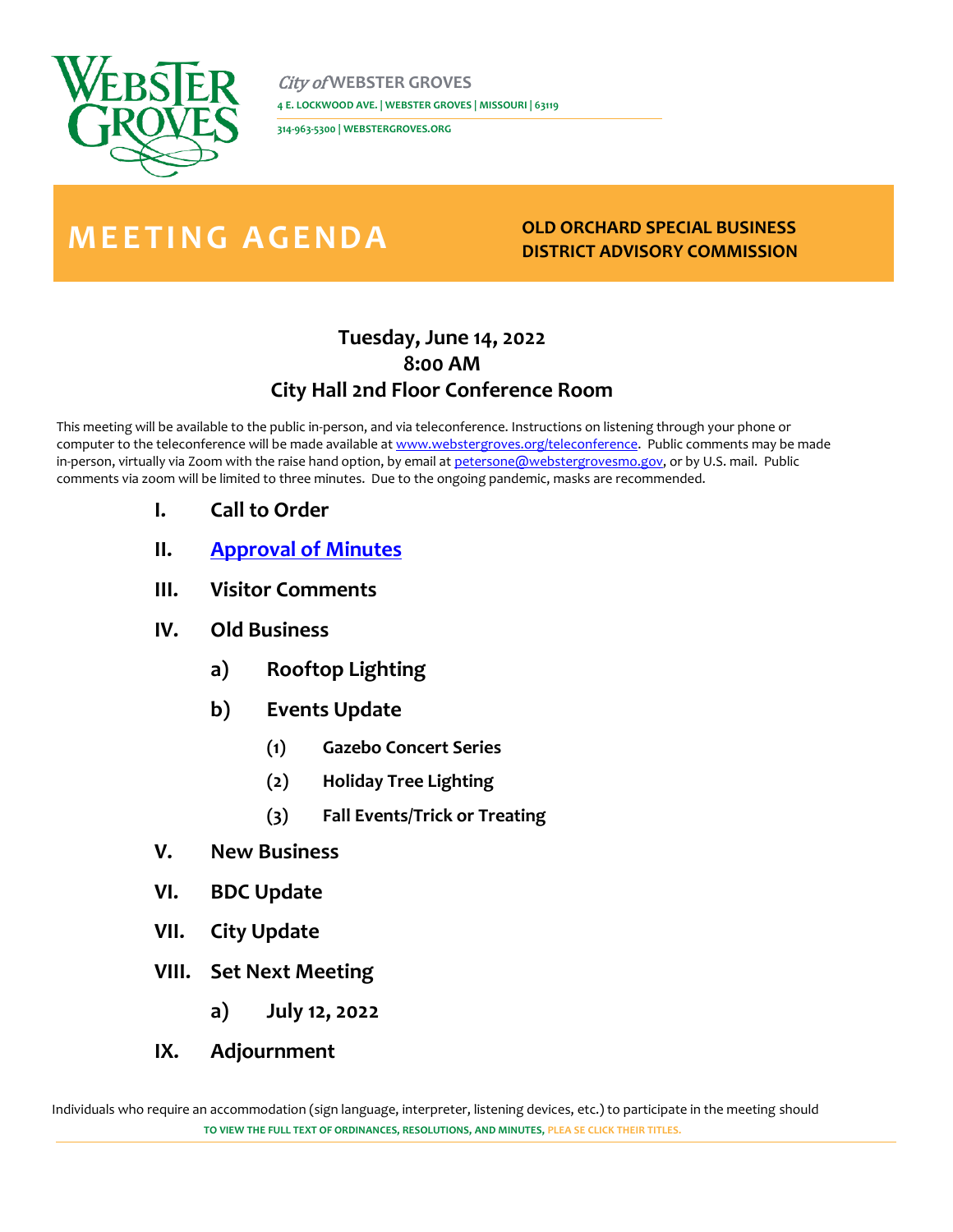

City of **WEBSTER GROVES 4 E. LOCKWOOD AVE. | WEBSTER GROVES | MISSOURI | 63119** 

**314-963-5300 | WEBSTERGROVES.ORG**

## **M E E T I N G AGENDA OLD ORCHARD SPECIAL BUSINESS**

## **DISTRICT ADVISORY COMMISSION**

## **Tuesday, June 14, 2022 8:00 AM City Hall 2nd Floor Conference Room**

This meeting will be available to the public in-person, and via teleconference. Instructions on listening through your phone or computer to the teleconference will be made available a[t www.webstergroves.org/teleconference.](http://www.webstergroves.org/teleconference) Public comments may be made in-person, virtually via Zoom with the raise hand option, by email at [petersone@webstergrovesmo.gov,](mailto:petersone@webstergrovesmo.gov) or by U.S. mail. Public comments via zoom will be limited to three minutes. Due to the ongoing pandemic, masks are recommended.

- **I. Call to Order**
- **II. [Approval of Minutes](https://www.webstergrovesmo.gov/DocumentCenter/View/10928/OOSBD-Minutes-4-12-22-April-DRAFT)**
- **III. Visitor Comments**
- **IV. Old Business**
	- **a) Rooftop Lighting**
	- **b) Events Update**
		- **(1) Gazebo Concert Series**
		- **(2) Holiday Tree Lighting**
		- **(3) Fall Events/Trick or Treating**
- **V. New Business**
- **VI. BDC Update**
- **VII. City Update**
- **VIII. Set Next Meeting**
	- **a) July 12, 2022**
- **IX. Adjournment**